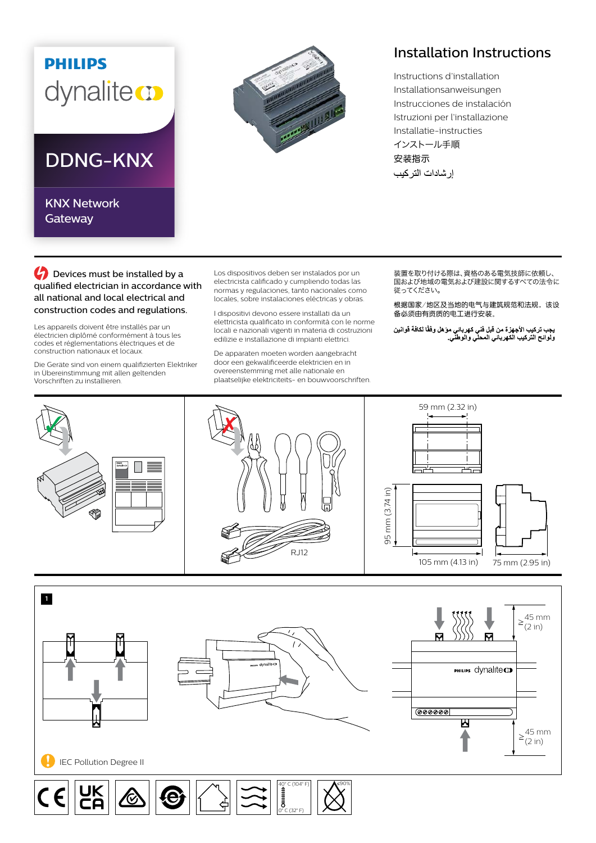## **PHILIPS** dynaliteco

## DDNG-KNX

KNX Network **Gateway** 



## Installation Instructions

Instructions d'installation Installationsanweisungen Instrucciones de instalación Istruzioni per l'installazione Installatie-instructies インストール手順 安装指示 إر شادات التر كيب

**C** Devices must be installed by a qualified electrician in accordance with all national and local electrical and construction codes and regulations.

Les appareils doivent être installés par un électricien diplômé conformément à tous les codes et réglementations électriques et de construction nationaux et locaux.

Die Geräte sind von einem qualifizierten Elektriker in Übereinstimmung mit allen geltenden Vorschriften zu installieren.

Los dispositivos deben ser instalados por un electricista calificado y cumpliendo todas las normas y regulaciones, tanto nacionales como locales, sobre instalaciones eléctricas y obras.

I dispositivi devono essere installati da un elettricista qualificato in conformità con le norme locali e nazionali vigenti in materia di costruzioni edilizie e installazione di impianti elettrici.

De apparaten moeten worden aangebracht door een gekwalificeerde elektricien en in overeenstemming met alle nationale en plaatselijke elektriciteits- en bouwvoorschriften. 装置を取り付ける際は、資格のある電気技師に依頼し、 ーーーーーーの ここで こころ ここの ここの ここの ここの<br>国および地域の電気および建設に関するすべての法令に 従ってください。

根据国家/地区及当地的电气与建筑规范和法规,该设 备必须由有资质的电工进行安装。

يجب تركيب الأجهزة من قبل فني كهرباني موّ هل وفقًا لكافة قوانين<br>ولوائح التركيب الكهرباني المحلي والوطني<sub>.</sub>





0° C (32° F)